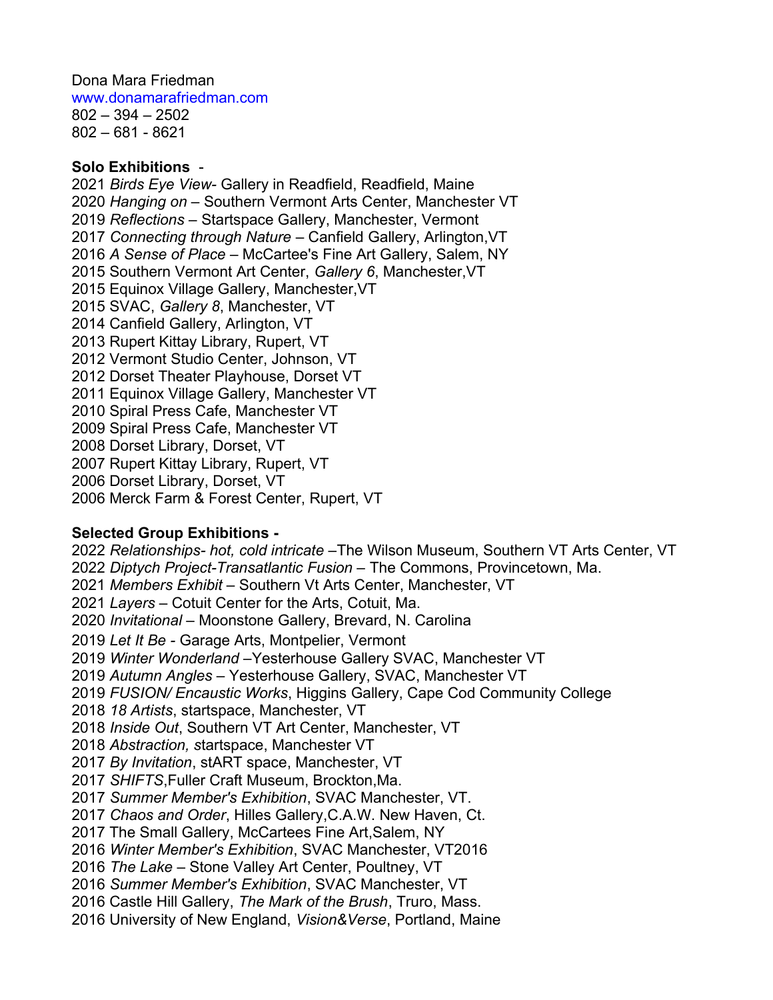Dona Mara Friedman www.donamarafriedman.com 802 – 394 – 2502 802 – 681 - 8621

## **Solo Exhibitions** -

2021 *Birds Eye View-* Gallery in Readfield, Readfield, Maine 2020 *Hanging on –* Southern Vermont Arts Center, Manchester VT 2019 *Reflections –* Startspace Gallery, Manchester, Vermont 2017 *Connecting through Nature* – Canfield Gallery, Arlington,VT 2016 *A Sense of Place* – McCartee's Fine Art Gallery, Salem, NY 2015 Southern Vermont Art Center, *Gallery 6*, Manchester,VT 2015 Equinox Village Gallery, Manchester,VT 2015 SVAC, *Gallery 8*, Manchester, VT 2014 Canfield Gallery, Arlington, VT 2013 Rupert Kittay Library, Rupert, VT 2012 Vermont Studio Center, Johnson, VT 2012 Dorset Theater Playhouse, Dorset VT 2011 Equinox Village Gallery, Manchester VT 2010 Spiral Press Cafe, Manchester VT 2009 Spiral Press Cafe, Manchester VT 2008 Dorset Library, Dorset, VT 2007 Rupert Kittay Library, Rupert, VT 2006 Dorset Library, Dorset, VT 2006 Merck Farm & Forest Center, Rupert, VT

## **Selected Group Exhibitions -**

*Relationships- hot, cold intricate –*The Wilson Museum, Southern VT Arts Center, VT *Diptych Project-Transatlantic Fusion –* The Commons, Provincetown, Ma. *Members Exhibit* – Southern Vt Arts Center, Manchester, VT *Layers –* Cotuit Center for the Arts, Cotuit, Ma. *Invitational –* Moonstone Gallery, Brevard, N. Carolina *Let It Be -* Garage Arts, Montpelier, Vermont *Winter Wonderland –*Yesterhouse Gallery SVAC, Manchester VT *Autumn Angles –* Yesterhouse Gallery, SVAC, Manchester VT *FUSION/ Encaustic Works*, Higgins Gallery, Cape Cod Community College *18 Artists*, startspace, Manchester, VT *Inside Out*, Southern VT Art Center, Manchester, VT *Abstraction, s*tartspace, Manchester VT *By Invitation*, stART space, Manchester, VT *SHIFTS*,Fuller Craft Museum, Brockton,Ma. *Summer Member's Exhibition*, SVAC Manchester, VT. *Chaos and Order*, Hilles Gallery,C.A.W. New Haven, Ct. 2017 The Small Gallery, McCartees Fine Art,Salem, NY *Winter Member's Exhibition*, SVAC Manchester, VT2016 *The Lake* – Stone Valley Art Center, Poultney, VT *Summer Member's Exhibition*, SVAC Manchester, VT 2016 Castle Hill Gallery, *The Mark of the Brush*, Truro, Mass. 2016 University of New England, *Vision&Verse*, Portland, Maine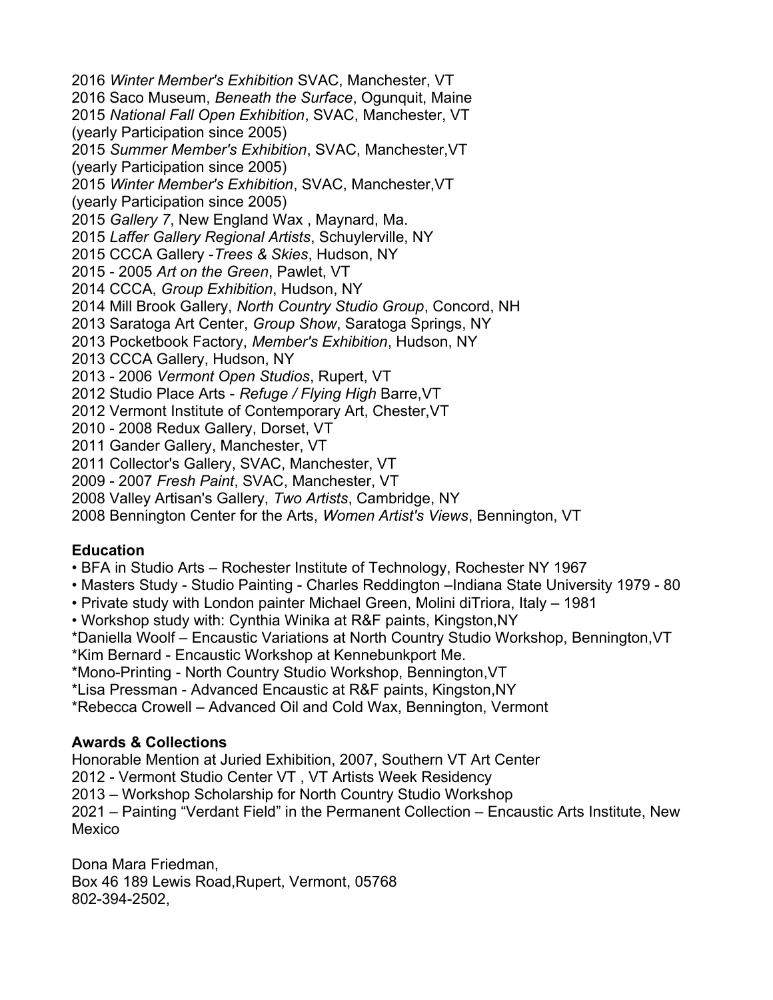2016 *Winter Member's Exhibition* SVAC, Manchester, VT 2016 Saco Museum, *Beneath the Surface*, Ogunquit, Maine 2015 *National Fall Open Exhibition*, SVAC, Manchester, VT (yearly Participation since 2005) 2015 *Summer Member's Exhibition*, SVAC, Manchester,VT (yearly Participation since 2005) 2015 *Winter Member's Exhibition*, SVAC, Manchester,VT (yearly Participation since 2005) 2015 *Gallery 7*, New England Wax , Maynard, Ma. 2015 *Laffer Gallery Regional Artists*, Schuylerville, NY 2015 CCCA Gallery -*Trees & Skies*, Hudson, NY 2015 - 2005 *Art on the Green*, Pawlet, VT 2014 CCCA, *Group Exhibition*, Hudson, NY 2014 Mill Brook Gallery, *North Country Studio Group*, Concord, NH 2013 Saratoga Art Center, *Group Show*, Saratoga Springs, NY 2013 Pocketbook Factory, *Member's Exhibition*, Hudson, NY 2013 CCCA Gallery, Hudson, NY 2013 - 2006 *Vermont Open Studios*, Rupert, VT 2012 Studio Place Arts - *Refuge / Flying High* Barre,VT 2012 Vermont Institute of Contemporary Art, Chester,VT 2010 - 2008 Redux Gallery, Dorset, VT 2011 Gander Gallery, Manchester, VT 2011 Collector's Gallery, SVAC, Manchester, VT 2009 - 2007 *Fresh Paint*, SVAC, Manchester, VT 2008 Valley Artisan's Gallery, *Two Artists*, Cambridge, NY

2008 Bennington Center for the Arts, *Women Artist's Views*, Bennington, VT

## **Education**

• BFA in Studio Arts – Rochester Institute of Technology, Rochester NY 1967

- Masters Study Studio Painting Charles Reddington –Indiana State University 1979 80
- Private study with London painter Michael Green, Molini diTriora, Italy 1981

• Workshop study with: Cynthia Winika at R&F paints, Kingston,NY

\*Daniella Woolf – Encaustic Variations at North Country Studio Workshop, Bennington,VT \*Kim Bernard - Encaustic Workshop at Kennebunkport Me.

\*Mono-Printing - North Country Studio Workshop, Bennington,VT

\*Lisa Pressman - Advanced Encaustic at R&F paints, Kingston,NY

\*Rebecca Crowell – Advanced Oil and Cold Wax, Bennington, Vermont

## **Awards & Collections**

Honorable Mention at Juried Exhibition, 2007, Southern VT Art Center 2012 - Vermont Studio Center VT , VT Artists Week Residency 2013 – Workshop Scholarship for North Country Studio Workshop 2021 – Painting "Verdant Field" in the Permanent Collection – Encaustic Arts Institute, New Mexico

Dona Mara Friedman, Box 46 189 Lewis Road,Rupert, Vermont, 05768 802-394-2502,